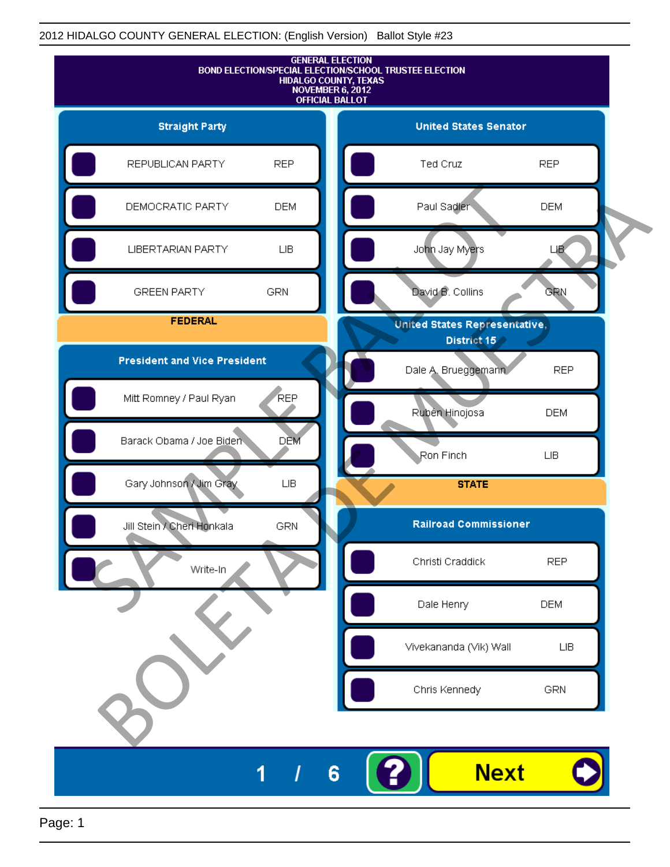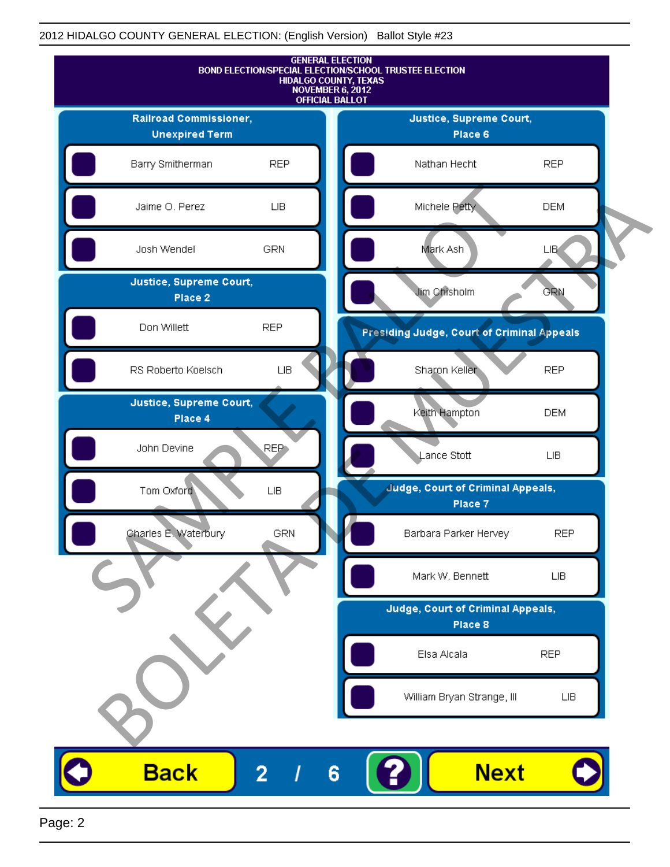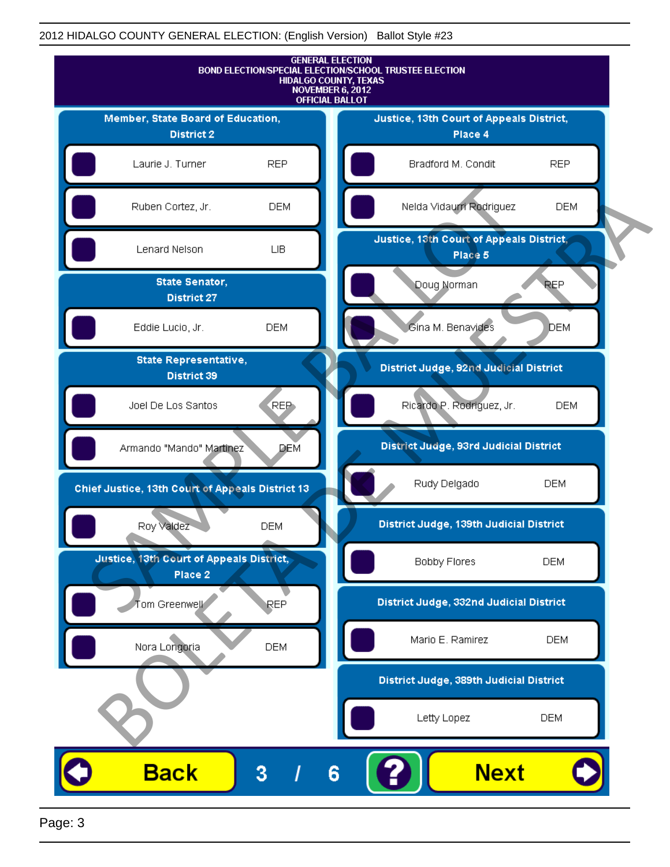

Page: 3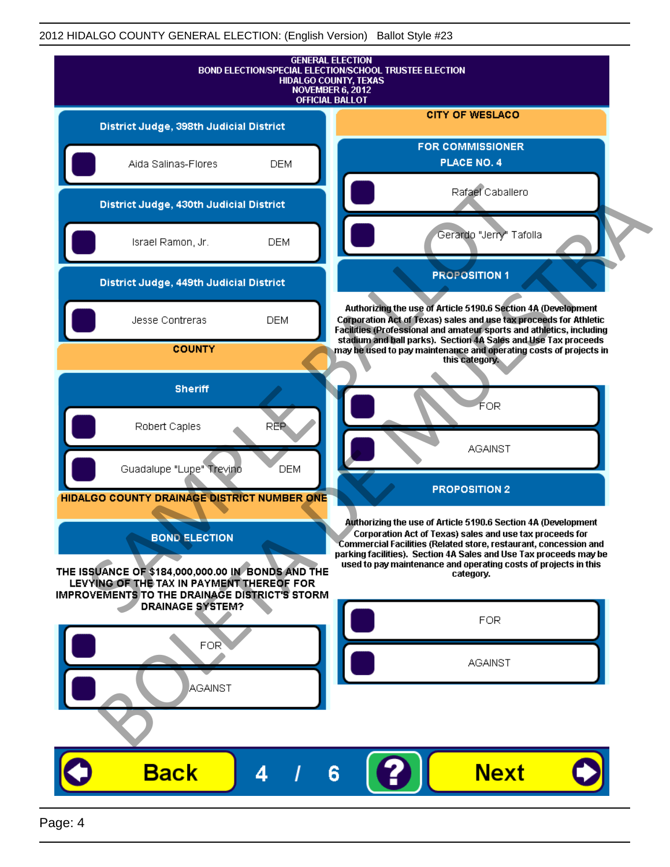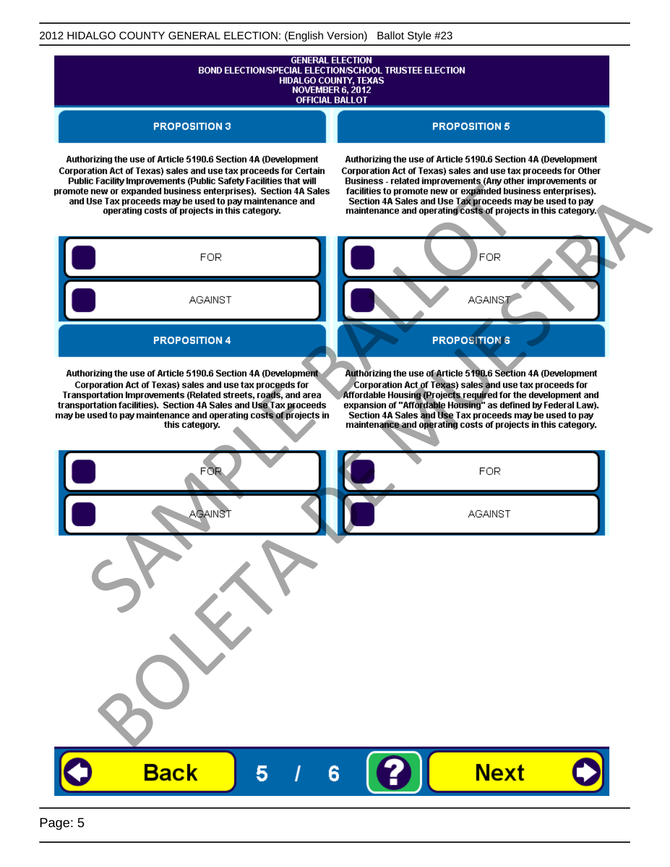# **GENERAL ELECTION** BOND ELECTION/SPECIAL ELECTION/SCHOOL TRUSTEE ELECTION<br>HIDALGO COUNTY, TEXAS<br>NOVEMBER 6, 2012 **OFFICIAL BALLOT**

**PROPOSITION 3** 

#### **PROPOSITION 5**

Authorizing the use of Article 5190.6 Section 4A (Development Corporation Act of Texas) sales and use tax proceeds for Certain

Authorizing the use of Article 5190.6 Section 4A (Development Corporation Act of Texas) sales and use tax proceeds for Other

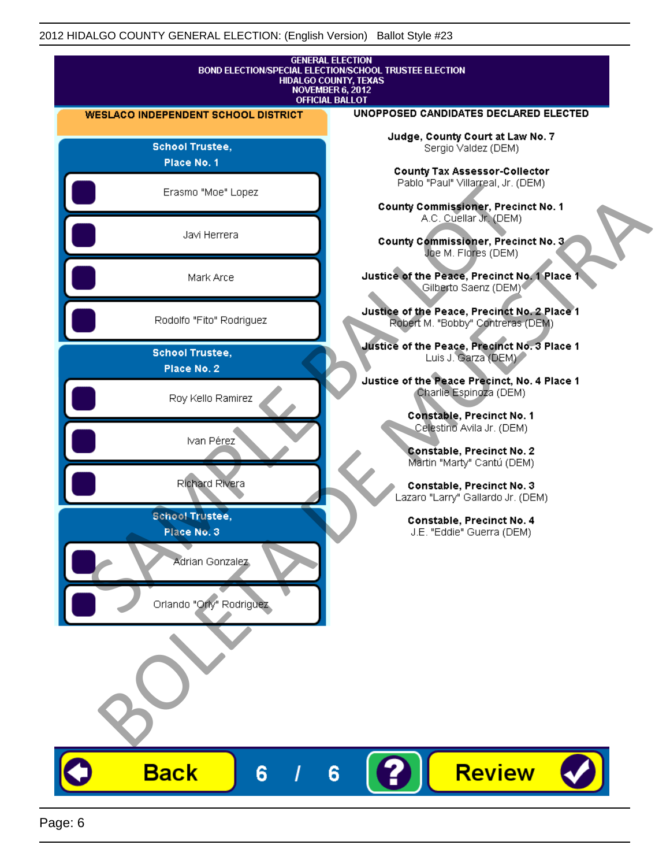![](_page_5_Figure_1.jpeg)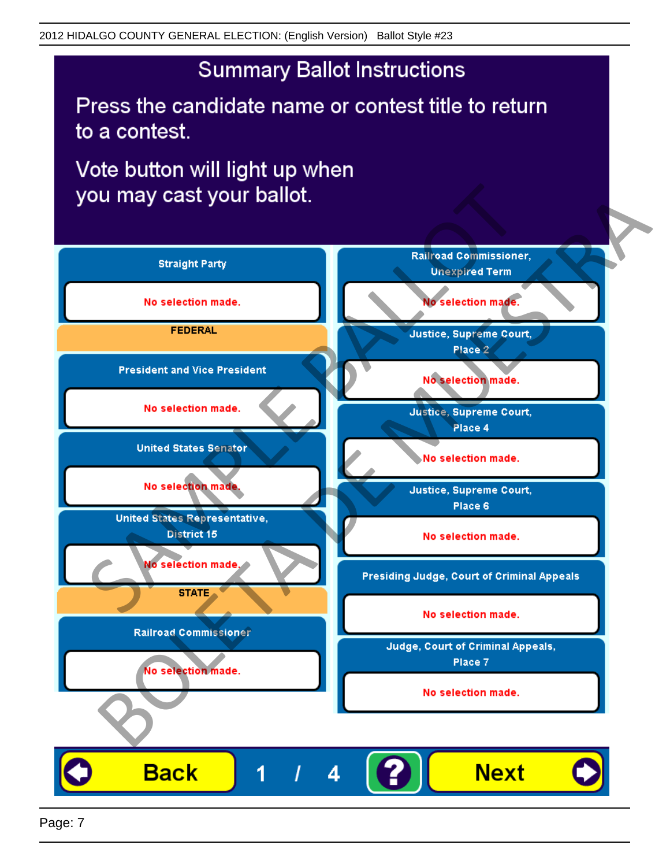Press the candidate name or contest title to return to a contest.

Vote button will light up when

![](_page_6_Figure_4.jpeg)

Page: 7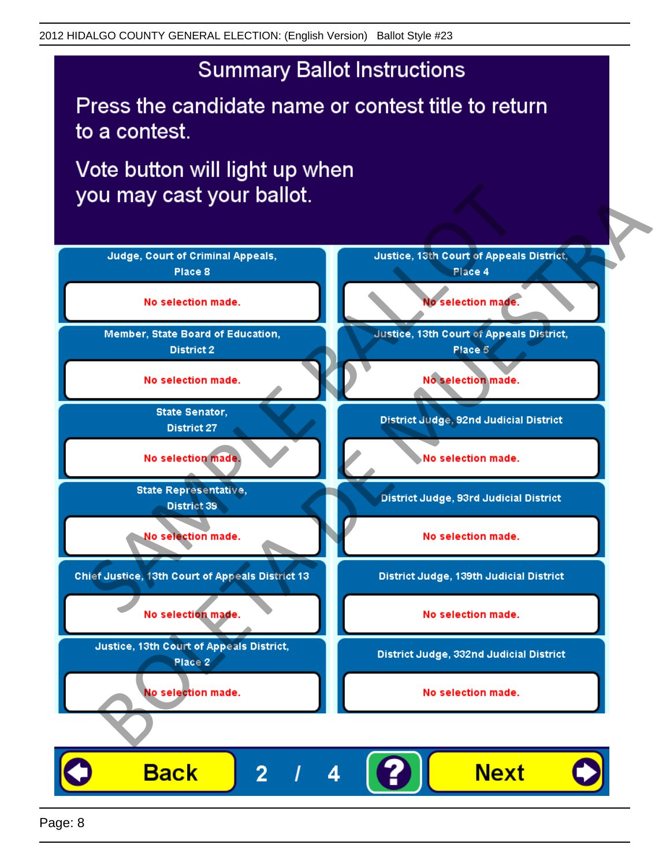Press the candidate name or contest title to return to a contest.

Vote button will light up when

![](_page_7_Figure_4.jpeg)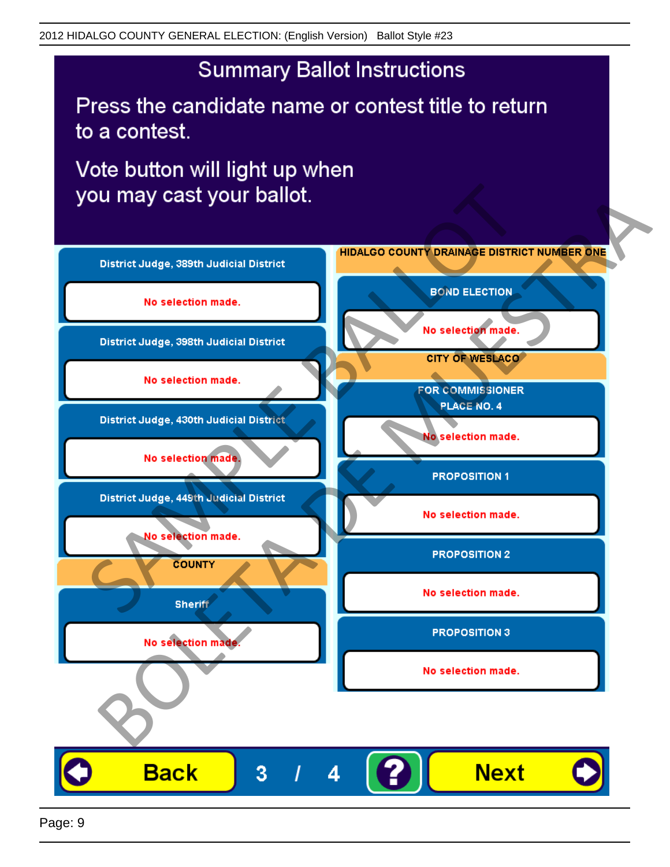Press the candidate name or contest title to return to a contest.

![](_page_8_Figure_4.jpeg)